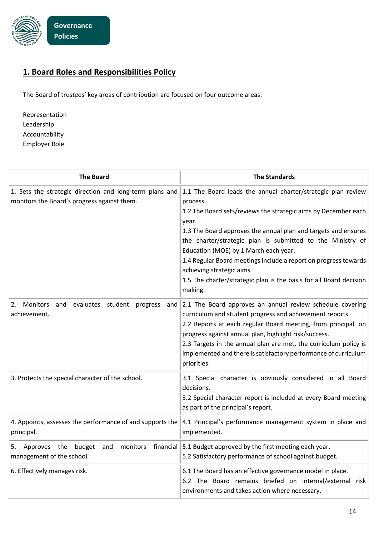

## **1. Board Roles and Responsibilities Policy**

The Board of trustees' key areas of contribution are focused on four outcome areas:

Representation Leadership Accountability Employer Role

| <b>The Board</b>                                                                                       | <b>The Standards</b>                                                                                                                                                                                                                                                                                                                                                                                                                                                                                          |
|--------------------------------------------------------------------------------------------------------|---------------------------------------------------------------------------------------------------------------------------------------------------------------------------------------------------------------------------------------------------------------------------------------------------------------------------------------------------------------------------------------------------------------------------------------------------------------------------------------------------------------|
| 1. Sets the strategic direction and long-term plans and<br>monitors the Board's progress against them. | 1.1 The Board leads the annual charter/strategic plan review<br>process.<br>1.2 The Board sets/reviews the strategic aims by December each<br>year.<br>1.3 The Board approves the annual plan and targets and ensures<br>the charter/strategic plan is submitted to the Ministry of<br>Education (MOE) by 1 March each year.<br>1.4 Regular Board meetings include a report on progress towards<br>achieving strategic aims.<br>1.5 The charter/strategic plan is the basis for all Board decision<br>making. |
| <b>Monitors</b><br>and<br>evaluates student<br>2.<br>progress<br>and<br>achievement.                   | 2.1 The Board approves an annual review schedule covering<br>curriculum and student progress and achievement reports.<br>2.2 Reports at each regular Board meeting, from principal, on<br>progress against annual plan, highlight risk/success.<br>2.3 Targets in the annual plan are met, the curriculum policy is<br>implemented and there is satisfactory performance of curriculum<br>priorities.                                                                                                         |
| 3. Protects the special character of the school.                                                       | 3.1 Special character is obviously considered in all Board<br>decisions.<br>3.2 Special character report is included at every Board meeting<br>as part of the principal's report.                                                                                                                                                                                                                                                                                                                             |
| 4. Appoints, assesses the performance of and supports the<br>principal.                                | 4.1 Principal's performance management system in place and<br>implemented.                                                                                                                                                                                                                                                                                                                                                                                                                                    |
| Approves the<br>budget<br>monitors<br>financial<br>5.<br>and<br>management of the school.              | 5.1 Budget approved by the first meeting each year.<br>5.2 Satisfactory performance of school against budget.                                                                                                                                                                                                                                                                                                                                                                                                 |
| 6. Effectively manages risk.                                                                           | 6.1 The Board has an effective governance model in place.<br>6.2 The Board remains briefed on internal/external<br>risk<br>environments and takes action where necessary.                                                                                                                                                                                                                                                                                                                                     |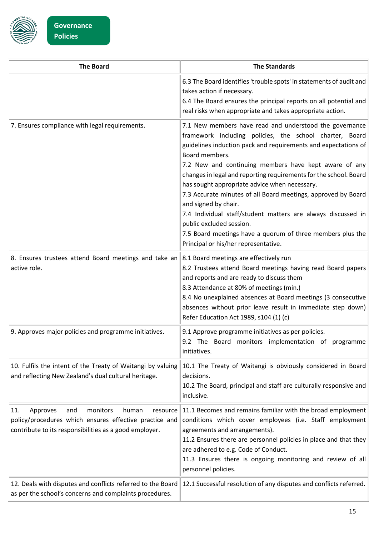

| <b>The Board</b>                                                                                                                                                            | <b>The Standards</b>                                                                                                                                                                                                                                                                                                                                                                                                                                                                                                                                                                                                                                                             |
|-----------------------------------------------------------------------------------------------------------------------------------------------------------------------------|----------------------------------------------------------------------------------------------------------------------------------------------------------------------------------------------------------------------------------------------------------------------------------------------------------------------------------------------------------------------------------------------------------------------------------------------------------------------------------------------------------------------------------------------------------------------------------------------------------------------------------------------------------------------------------|
|                                                                                                                                                                             | 6.3 The Board identifies 'trouble spots' in statements of audit and<br>takes action if necessary.<br>6.4 The Board ensures the principal reports on all potential and<br>real risks when appropriate and takes appropriate action.                                                                                                                                                                                                                                                                                                                                                                                                                                               |
| 7. Ensures compliance with legal requirements.                                                                                                                              | 7.1 New members have read and understood the governance<br>framework including policies, the school charter, Board<br>guidelines induction pack and requirements and expectations of<br>Board members.<br>7.2 New and continuing members have kept aware of any<br>changes in legal and reporting requirements for the school. Board<br>has sought appropriate advice when necessary.<br>7.3 Accurate minutes of all Board meetings, approved by Board<br>and signed by chair.<br>7.4 Individual staff/student matters are always discussed in<br>public excluded session.<br>7.5 Board meetings have a quorum of three members plus the<br>Principal or his/her representative. |
| 8. Ensures trustees attend Board meetings and take an<br>active role.                                                                                                       | 8.1 Board meetings are effectively run<br>8.2 Trustees attend Board meetings having read Board papers<br>and reports and are ready to discuss them<br>8.3 Attendance at 80% of meetings (min.)<br>8.4 No unexplained absences at Board meetings (3 consecutive<br>absences without prior leave result in immediate step down)<br>Refer Education Act 1989, s104 (1) (c)                                                                                                                                                                                                                                                                                                          |
| 9. Approves major policies and programme initiatives.                                                                                                                       | 9.1 Approve programme initiatives as per policies.<br>9.2 The Board monitors implementation of programme<br>initiatives.                                                                                                                                                                                                                                                                                                                                                                                                                                                                                                                                                         |
| 10. Fulfils the intent of the Treaty of Waitangi by valuing<br>and reflecting New Zealand's dual cultural heritage.                                                         | 10.1 The Treaty of Waitangi is obviously considered in Board<br>decisions.<br>10.2 The Board, principal and staff are culturally responsive and<br>inclusive.                                                                                                                                                                                                                                                                                                                                                                                                                                                                                                                    |
| monitors<br>Approves<br>and<br>human<br>11.<br>resource<br>policy/procedures which ensures effective practice and<br>contribute to its responsibilities as a good employer. | 11.1 Becomes and remains familiar with the broad employment<br>conditions which cover employees (i.e. Staff employment<br>agreements and arrangements).<br>11.2 Ensures there are personnel policies in place and that they<br>are adhered to e.g. Code of Conduct.<br>11.3 Ensures there is ongoing monitoring and review of all<br>personnel policies.                                                                                                                                                                                                                                                                                                                         |
| 12. Deals with disputes and conflicts referred to the Board<br>as per the school's concerns and complaints procedures.                                                      | 12.1 Successful resolution of any disputes and conflicts referred.                                                                                                                                                                                                                                                                                                                                                                                                                                                                                                                                                                                                               |